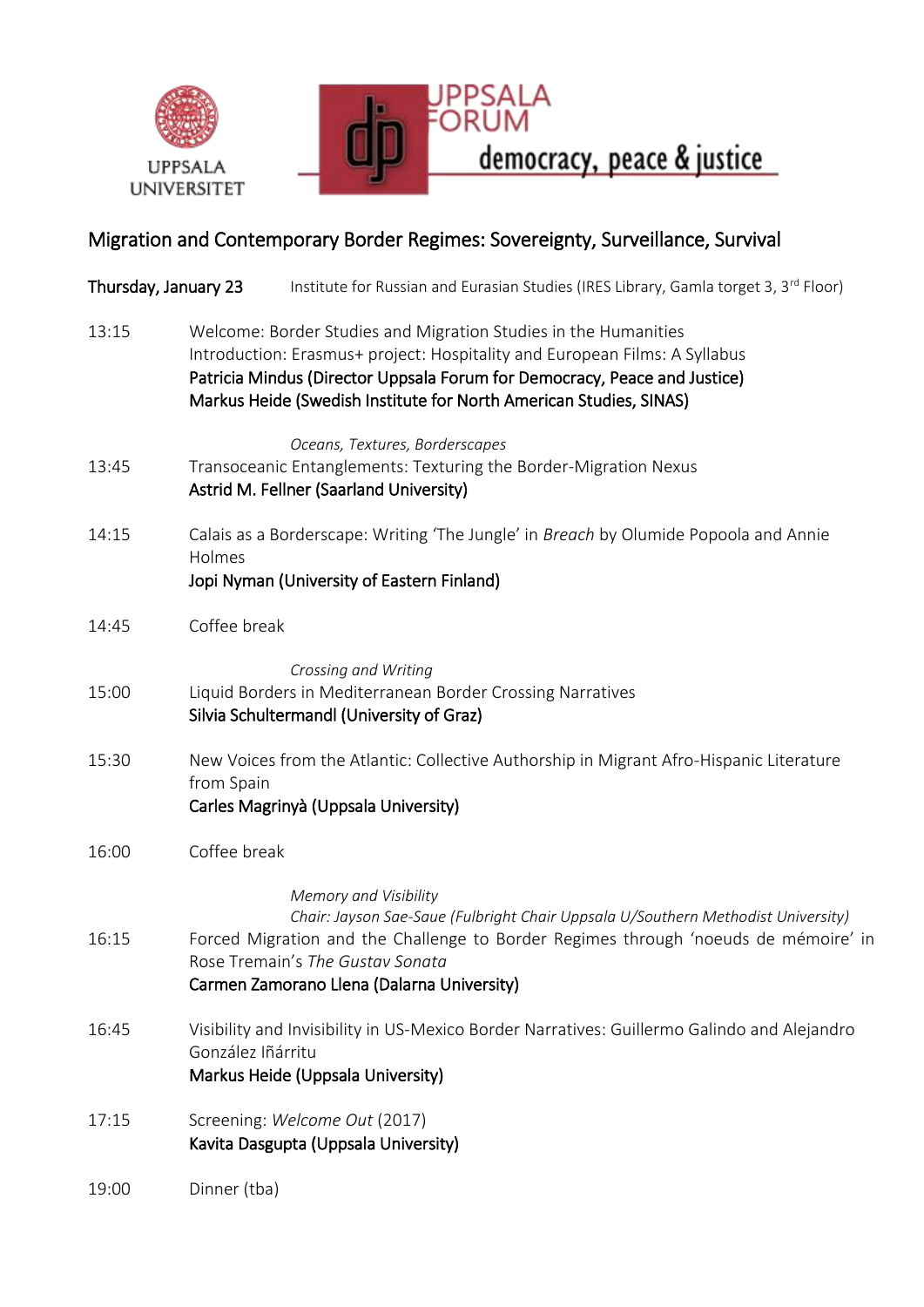



## Migration and Contemporary Border Regimes: Sovereignty, Surveillance, Survival

| Thursday, January 23 | Institute for Russian and Eurasian Studies (IRES Library, Gamla torget 3, 3 <sup>rd</sup> Floor)                                                                                                                                                                                                 |  |
|----------------------|--------------------------------------------------------------------------------------------------------------------------------------------------------------------------------------------------------------------------------------------------------------------------------------------------|--|
| 13:15                | Welcome: Border Studies and Migration Studies in the Humanities<br>Introduction: Erasmus+ project: Hospitality and European Films: A Syllabus<br>Patricia Mindus (Director Uppsala Forum for Democracy, Peace and Justice)<br>Markus Heide (Swedish Institute for North American Studies, SINAS) |  |
| 13:45                | Oceans, Textures, Borderscapes<br>Transoceanic Entanglements: Texturing the Border-Migration Nexus<br>Astrid M. Fellner (Saarland University)                                                                                                                                                    |  |
| 14:15                | Calais as a Borderscape: Writing 'The Jungle' in Breach by Olumide Popoola and Annie<br>Holmes<br>Jopi Nyman (University of Eastern Finland)                                                                                                                                                     |  |
| 14:45                | Coffee break                                                                                                                                                                                                                                                                                     |  |
| 15:00                | Crossing and Writing<br>Liquid Borders in Mediterranean Border Crossing Narratives<br>Silvia Schultermandl (University of Graz)                                                                                                                                                                  |  |
| 15:30                | New Voices from the Atlantic: Collective Authorship in Migrant Afro-Hispanic Literature<br>from Spain<br>Carles Magrinyà (Uppsala University)                                                                                                                                                    |  |
| 16:00                | Coffee break                                                                                                                                                                                                                                                                                     |  |
| 16:15                | Memory and Visibility<br>Chair: Jayson Sae-Saue (Fulbright Chair Uppsala U/Southern Methodist University)<br>Forced Migration and the Challenge to Border Regimes through 'noeuds de mémoire' in<br>Rose Tremain's The Gustav Sonata<br>Carmen Zamorano Llena (Dalarna University)               |  |
| 16:45                | Visibility and Invisibility in US-Mexico Border Narratives: Guillermo Galindo and Alejandro<br>González Iñárritu<br>Markus Heide (Uppsala University)                                                                                                                                            |  |
| 17:15                | Screening: Welcome Out (2017)<br>Kavita Dasgupta (Uppsala University)                                                                                                                                                                                                                            |  |
| 19:00                | Dinner (tba)                                                                                                                                                                                                                                                                                     |  |